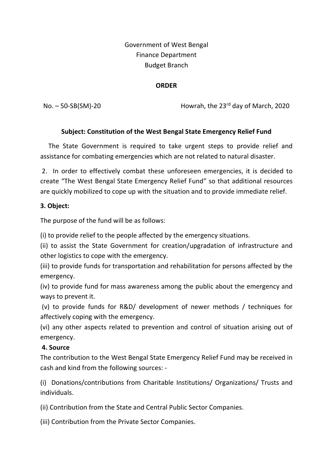# Government of West Bengal Finance Department Budget Branch

#### ORDER

No. – 50-SB(SM)-20 **Howrah, the 23<sup>rd</sup> day of March, 2020** 

## Subject: Constitution of the West Bengal State Emergency Relief Fund

 The State Government is required to take urgent steps to provide relief and assistance for combating emergencies which are not related to natural disaster.

 2. In order to effectively combat these unforeseen emergencies, it is decided to create "The West Bengal State Emergency Relief Fund" so that additional resources are quickly mobilized to cope up with the situation and to provide immediate relief.

#### 3. Object:

The purpose of the fund will be as follows:

(i) to provide relief to the people affected by the emergency situations.

(ii) to assist the State Government for creation/upgradation of infrastructure and other logistics to cope with the emergency.

(iii) to provide funds for transportation and rehabilitation for persons affected by the emergency.

(iv) to provide fund for mass awareness among the public about the emergency and ways to prevent it.

 (v) to provide funds for R&D/ development of newer methods / techniques for affectively coping with the emergency.

(vi) any other aspects related to prevention and control of situation arising out of emergency.

## 4. Source

The contribution to the West Bengal State Emergency Relief Fund may be received in cash and kind from the following sources: -

(i) Donations/contributions from Charitable Institutions/ Organizations/ Trusts and individuals.

(ii) Contribution from the State and Central Public Sector Companies.

(iii) Contribution from the Private Sector Companies.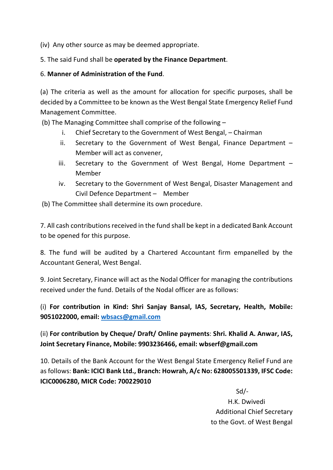(iv) Any other source as may be deemed appropriate.

5. The said Fund shall be operated by the Finance Department.

#### 6. Manner of Administration of the Fund.

(a) The criteria as well as the amount for allocation for specific purposes, shall be decided by a Committee to be known as the West Bengal State Emergency Relief Fund Management Committee.

(b) The Managing Committee shall comprise of the following –

- i. Chief Secretary to the Government of West Bengal, Chairman
- ii. Secretary to the Government of West Bengal, Finance Department Member will act as convener,
- iii. Secretary to the Government of West Bengal, Home Department Member
- iv. Secretary to the Government of West Bengal, Disaster Management and Civil Defence Department – Member
- (b) The Committee shall determine its own procedure.

7. All cash contributions received in the fund shall be kept in a dedicated Bank Account to be opened for this purpose.

8. The fund will be audited by a Chartered Accountant firm empanelled by the Accountant General, West Bengal.

9. Joint Secretary, Finance will act as the Nodal Officer for managing the contributions received under the fund. Details of the Nodal officer are as follows:

(i) For contribution in Kind: Shri Sanjay Bansal, IAS, Secretary, Health, Mobile: 9051022000, email: wbsacs@gmail.com

(ii) For contribution by Cheque/ Draft/ Online payments: Shri. Khalid A. Anwar, IAS, Joint Secretary Finance, Mobile: 9903236466, email: wbserf@gmail.com

10. Details of the Bank Account for the West Bengal State Emergency Relief Fund are as follows: Bank: ICICI Bank Ltd., Branch: Howrah, A/c No: 628005501339, IFSC Code: ICIC0006280, MICR Code: 700229010

 Sd/- H.K. Dwivedi Additional Chief Secretary to the Govt. of West Bengal